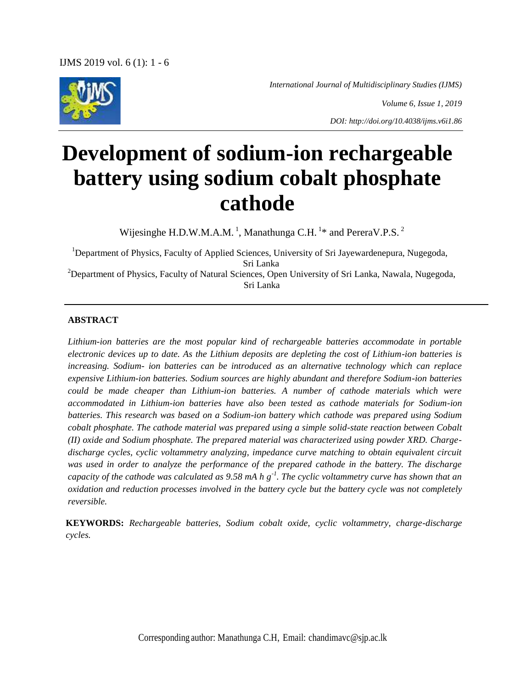*International Journal of Multidisciplinary Studies (IJMS)*

*Volume 6, Issue 1, 2019*

*DOI: http://doi.org/10.4038/ijms.v6i1.86*

# **Development of sodium-ion rechargeable battery using sodium cobalt phosphate cathode**

Wijesinghe H.D.W.M.A.M.<sup>1</sup>, Manathunga C.H.<sup>1\*</sup> and PereraV.P.S.<sup>2</sup>

<sup>1</sup>Department of Physics, Faculty of Applied Sciences, University of Sri Jayewardenepura, Nugegoda, Sri Lanka <sup>2</sup>Department of Physics, Faculty of Natural Sciences, Open University of Sri Lanka, Nawala, Nugegoda, Sri Lanka

#### **ABSTRACT**

*Lithium-ion batteries are the most popular kind of rechargeable batteries accommodate in portable electronic devices up to date. As the Lithium deposits are depleting the cost of Lithium-ion batteries is increasing. Sodium- ion batteries can be introduced as an alternative technology which can replace expensive Lithium-ion batteries. Sodium sources are highly abundant and therefore Sodium-ion batteries could be made cheaper than Lithium-ion batteries. A number of cathode materials which were accommodated in Lithium-ion batteries have also been tested as cathode materials for Sodium-ion batteries. This research was based on a Sodium-ion battery which cathode was prepared using Sodium cobalt phosphate. The cathode material was prepared using a simple solid-state reaction between Cobalt (II) oxide and Sodium phosphate. The prepared material was characterized using powder XRD. Chargedischarge cycles, cyclic voltammetry analyzing, impedance curve matching to obtain equivalent circuit was used in order to analyze the performance of the prepared cathode in the battery. The discharge capacity of the cathode was calculated as 9.58 mA h g-1 . The cyclic voltammetry curve has shown that an oxidation and reduction processes involved in the battery cycle but the battery cycle was not completely reversible.* 

**KEYWORDS:** *Rechargeable batteries, Sodium cobalt oxide, cyclic voltammetry, charge-discharge cycles.*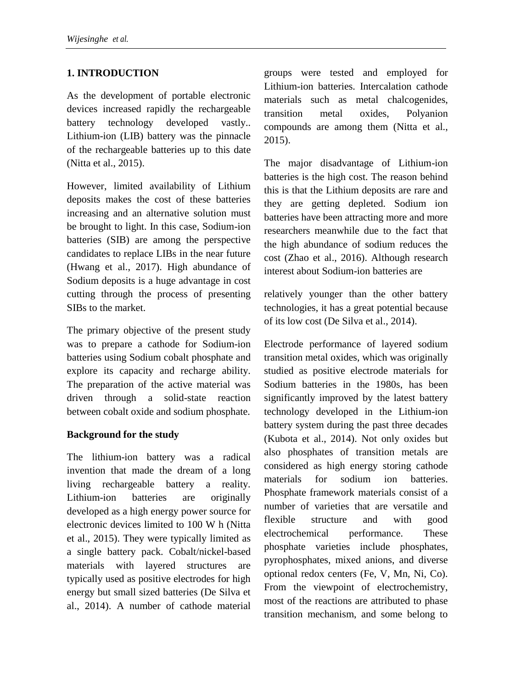# **1. INTRODUCTION**

As the development of portable electronic devices increased rapidly the rechargeable battery technology developed vastly.. Lithium-ion (LIB) battery was the pinnacle of the rechargeable batteries up to this date (Nitta et al., 2015).

However, limited availability of Lithium deposits makes the cost of these batteries increasing and an alternative solution must be brought to light. In this case, Sodium-ion batteries (SIB) are among the perspective candidates to replace LIBs in the near future (Hwang et al., 2017). High abundance of Sodium deposits is a huge advantage in cost cutting through the process of presenting SIBs to the market.

The primary objective of the present study was to prepare a cathode for Sodium-ion batteries using Sodium cobalt phosphate and explore its capacity and recharge ability. The preparation of the active material was driven through a solid-state reaction between cobalt oxide and sodium phosphate.

#### **Background for the study**

The lithium-ion battery was a radical invention that made the dream of a long living rechargeable battery a reality. Lithium-ion batteries are originally developed as a high energy power source for electronic devices limited to 100 W h (Nitta et al., 2015). They were typically limited as a single battery pack. Cobalt/nickel-based materials with layered structures are typically used as positive electrodes for high energy but small sized batteries (De Silva et al., 2014). A number of cathode material

groups were tested and employed for Lithium-ion batteries. Intercalation cathode materials such as metal chalcogenides, transition metal oxides, Polyanion compounds are among them (Nitta et al., 2015).

The major disadvantage of Lithium-ion batteries is the high cost. The reason behind this is that the Lithium deposits are rare and they are getting depleted. Sodium ion batteries have been attracting more and more researchers meanwhile due to the fact that the high abundance of sodium reduces the cost (Zhao et al., 2016). Although research interest about Sodium-ion batteries are

relatively younger than the other battery technologies, it has a great potential because of its low cost (De Silva et al., 2014).

Electrode performance of layered sodium transition metal oxides, which was originally studied as positive electrode materials for Sodium batteries in the 1980s, has been significantly improved by the latest battery technology developed in the Lithium-ion battery system during the past three decades (Kubota et al., 2014). Not only oxides but also phosphates of transition metals are considered as high energy storing cathode materials for sodium ion batteries. Phosphate framework materials consist of a number of varieties that are versatile and flexible structure and with good electrochemical performance. These phosphate varieties include phosphates, pyrophosphates, mixed anions, and diverse optional redox centers (Fe, V, Mn, Ni, Co). From the viewpoint of electrochemistry, most of the reactions are attributed to phase transition mechanism, and some belong to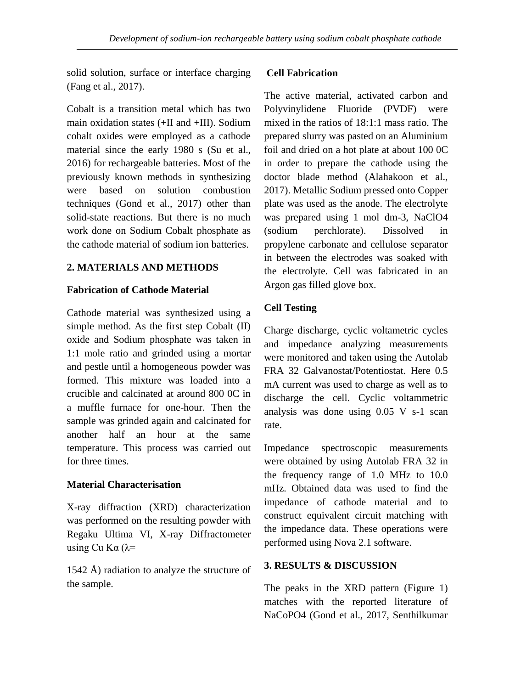solid solution, surface or interface charging (Fang et al., 2017).

Cobalt is a transition metal which has two main oxidation states (+II and +III). Sodium cobalt oxides were employed as a cathode material since the early 1980 s (Su et al., 2016) for rechargeable batteries. Most of the previously known methods in synthesizing were based on solution combustion techniques (Gond et al., 2017) other than solid-state reactions. But there is no much work done on Sodium Cobalt phosphate as the cathode material of sodium ion batteries.

# **2. MATERIALS AND METHODS**

#### **Fabrication of Cathode Material**

Cathode material was synthesized using a simple method. As the first step Cobalt (II) oxide and Sodium phosphate was taken in 1:1 mole ratio and grinded using a mortar and pestle until a homogeneous powder was formed. This mixture was loaded into a crucible and calcinated at around 800 0C in a muffle furnace for one-hour. Then the sample was grinded again and calcinated for another half an hour at the same temperature. This process was carried out for three times.

#### **Material Characterisation**

X-ray diffraction (XRD) characterization was performed on the resulting powder with Regaku Ultima VI, X-ray Diffractometer using Cu Kα ( $λ=$ 

1542 Å) radiation to analyze the structure of the sample.

#### **Cell Fabrication**

The active material, activated carbon and Polyvinylidene Fluoride (PVDF) were mixed in the ratios of 18:1:1 mass ratio. The prepared slurry was pasted on an Aluminium foil and dried on a hot plate at about 100 0C in order to prepare the cathode using the doctor blade method (Alahakoon et al., 2017). Metallic Sodium pressed onto Copper plate was used as the anode. The electrolyte was prepared using 1 mol dm-3, NaClO4 (sodium perchlorate). Dissolved in propylene carbonate and cellulose separator in between the electrodes was soaked with the electrolyte. Cell was fabricated in an Argon gas filled glove box.

# **Cell Testing**

Charge discharge, cyclic voltametric cycles and impedance analyzing measurements were monitored and taken using the Autolab FRA 32 Galvanostat/Potentiostat. Here 0.5 mA current was used to charge as well as to discharge the cell. Cyclic voltammetric analysis was done using 0.05 V s-1 scan rate.

Impedance spectroscopic measurements were obtained by using Autolab FRA 32 in the frequency range of 1.0 MHz to 10.0 mHz. Obtained data was used to find the impedance of cathode material and to construct equivalent circuit matching with the impedance data. These operations were performed using Nova 2.1 software.

#### **3. RESULTS & DISCUSSION**

The peaks in the XRD pattern (Figure 1) matches with the reported literature of NaCoPO4 (Gond et al., 2017, Senthilkumar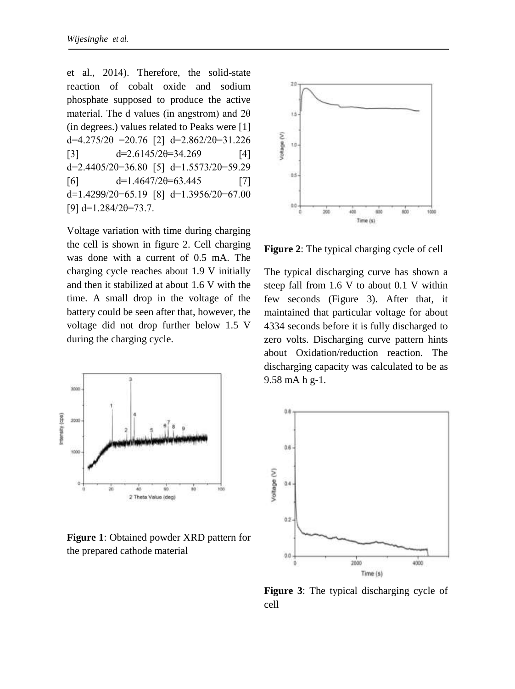et al., 2014). Therefore, the solid-state reaction of cobalt oxide and sodium phosphate supposed to produce the active material. The d values (in angstrom) and  $2\theta$ (in degrees.) values related to Peaks were [1] d=4.275/2θ =20.76 [2] d=2.862/2θ=31.226 [3]  $d=2.6145/2\theta=34.269$  [4] d=2.4405/2 $\theta$ =36.80 [5] d=1.5573/2 $\theta$ =59.29  $d=1.4647/2\theta=63.445$  [7] d=1.4299/2 $\theta$ =65.19 [8] d=1.3956/2 $\theta$ =67.00 [9]  $d=1.284/2\theta=73.7$ .

Voltage variation with time during charging the cell is shown in figure 2. Cell charging was done with a current of 0.5 mA. The charging cycle reaches about 1.9 V initially and then it stabilized at about 1.6 V with the time. A small drop in the voltage of the battery could be seen after that, however, the voltage did not drop further below 1.5 V during the charging cycle.



**Figure 1**: Obtained powder XRD pattern for the prepared cathode material



**Figure 2**: The typical charging cycle of cell

The typical discharging curve has shown a steep fall from 1.6 V to about 0.1 V within few seconds (Figure 3). After that, it maintained that particular voltage for about 4334 seconds before it is fully discharged to zero volts. Discharging curve pattern hints about Oxidation/reduction reaction. The discharging capacity was calculated to be as 9.58 mA h g-1.



**Figure 3**: The typical discharging cycle of cell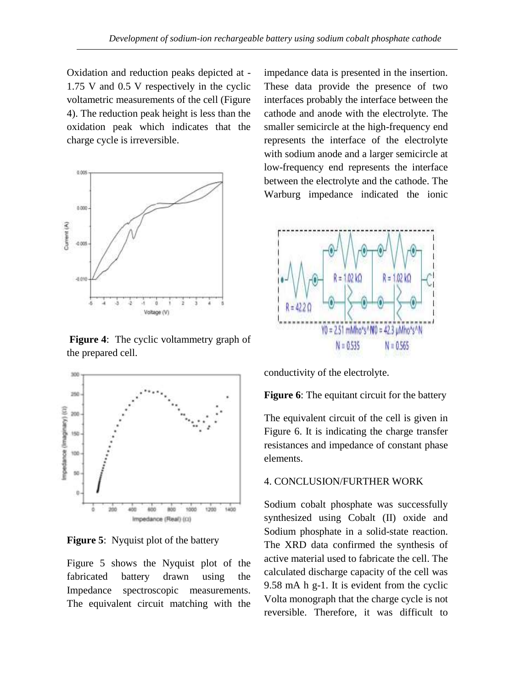Oxidation and reduction peaks depicted at - 1.75 V and 0.5 V respectively in the cyclic voltametric measurements of the cell (Figure 4). The reduction peak height is less than the oxidation peak which indicates that the charge cycle is irreversible.



**Figure 4**: The cyclic voltammetry graph of the prepared cell.



**Figure 5:** Nyquist plot of the battery

Figure 5 shows the Nyquist plot of the fabricated battery drawn using the Impedance spectroscopic measurements. The equivalent circuit matching with the impedance data is presented in the insertion. These data provide the presence of two interfaces probably the interface between the cathode and anode with the electrolyte. The smaller semicircle at the high-frequency end represents the interface of the electrolyte with sodium anode and a larger semicircle at low-frequency end represents the interface between the electrolyte and the cathode. The Warburg impedance indicated the ionic



conductivity of the electrolyte.

**Figure 6**: The equitant circuit for the battery

The equivalent circuit of the cell is given in Figure 6. It is indicating the charge transfer resistances and impedance of constant phase elements.

#### 4. CONCLUSION/FURTHER WORK

Sodium cobalt phosphate was successfully synthesized using Cobalt (II) oxide and Sodium phosphate in a solid-state reaction. The XRD data confirmed the synthesis of active material used to fabricate the cell. The calculated discharge capacity of the cell was 9.58 mA h g-1. It is evident from the cyclic Volta monograph that the charge cycle is not reversible. Therefore, it was difficult to